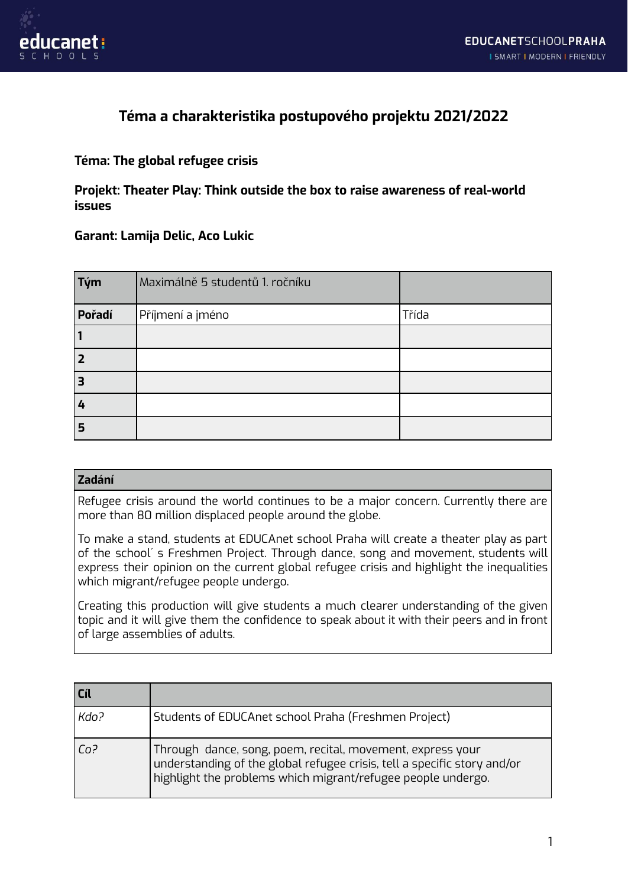

## **Téma a charakteristika postupového projektu 2021/2022**

## **Téma: The global refugee crisis**

**Projekt: Theater Play: Think outside the box to raise awareness of real-world issues**

## **Garant: Lamija Delic, Aco Lukic**

| Tým    | Maximálně 5 studentů 1. ročníku |       |
|--------|---------------------------------|-------|
| Pořadí | Příjmení a jméno                | Třída |
|        |                                 |       |
| l 2    |                                 |       |
| 3      |                                 |       |
| 4      |                                 |       |
| 5      |                                 |       |

## **Zadání**

Refugee crisis around the world continues to be a major concern. Currently there are more than 80 million displaced people around the globe.

To make a stand, students at EDUCAnet school Praha will create a theater play as part of the school´ s Freshmen Project. Through dance, song and movement, students will express their opinion on the current global refugee crisis and highlight the inequalities which migrant/refugee people undergo.

Creating this production will give students a much clearer understanding of the given topic and it will give them the confidence to speak about it with their peers and in front of large assemblies of adults.

| Cíl   |                                                                                                                                                                                                        |
|-------|--------------------------------------------------------------------------------------------------------------------------------------------------------------------------------------------------------|
| Kdo?  | Students of EDUCAnet school Praha (Freshmen Project)                                                                                                                                                   |
| l Co? | Through dance, song, poem, recital, movement, express your<br>understanding of the global refugee crisis, tell a specific story and/or<br>highlight the problems which migrant/refugee people undergo. |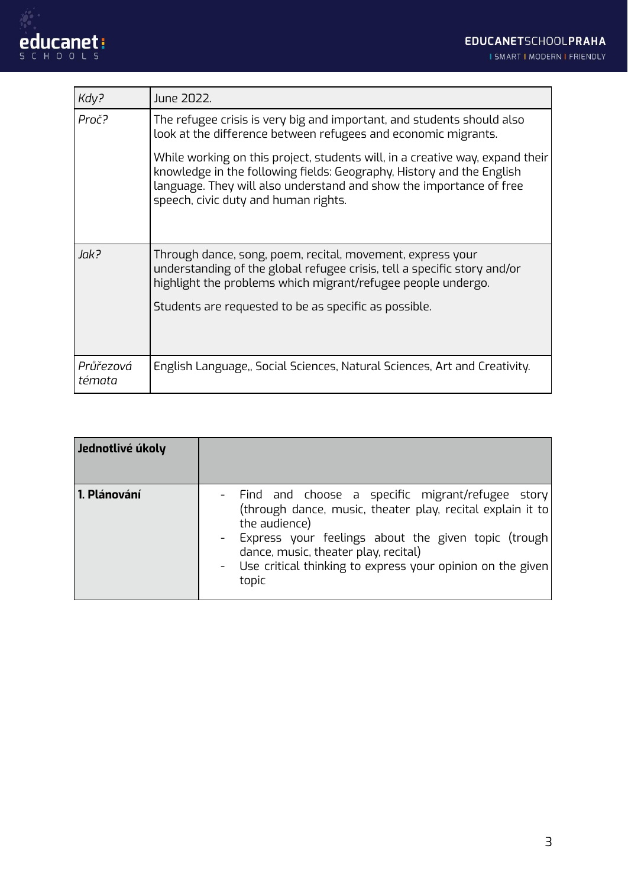

| Kdy?                | June 2022.                                                                                                                                                                                                                                                            |
|---------------------|-----------------------------------------------------------------------------------------------------------------------------------------------------------------------------------------------------------------------------------------------------------------------|
| Proč?               | The refugee crisis is very big and important, and students should also<br>look at the difference between refugees and economic migrants.                                                                                                                              |
|                     | While working on this project, students will, in a creative way, expand their<br>knowledge in the following fields: Geography, History and the English<br>language. They will also understand and show the importance of free<br>speech, civic duty and human rights. |
| Jak?                | Through dance, song, poem, recital, movement, express your<br>understanding of the global refugee crisis, tell a specific story and/or<br>highlight the problems which migrant/refugee people undergo.<br>Students are requested to be as specific as possible.       |
| Průřezová<br>témata | English Language,, Social Sciences, Natural Sciences, Art and Creativity.                                                                                                                                                                                             |

| Jednotlivé úkoly |                                                                                                                                                                                                                                                                                                              |
|------------------|--------------------------------------------------------------------------------------------------------------------------------------------------------------------------------------------------------------------------------------------------------------------------------------------------------------|
| 1. Plánování     | - Find and choose a specific migrant/refugee story<br>(through dance, music, theater play, recital explain it to<br>the audience)<br>- Express your feelings about the given topic (trough)<br>dance, music, theater play, recital)<br>- Use critical thinking to express your opinion on the given<br>topic |